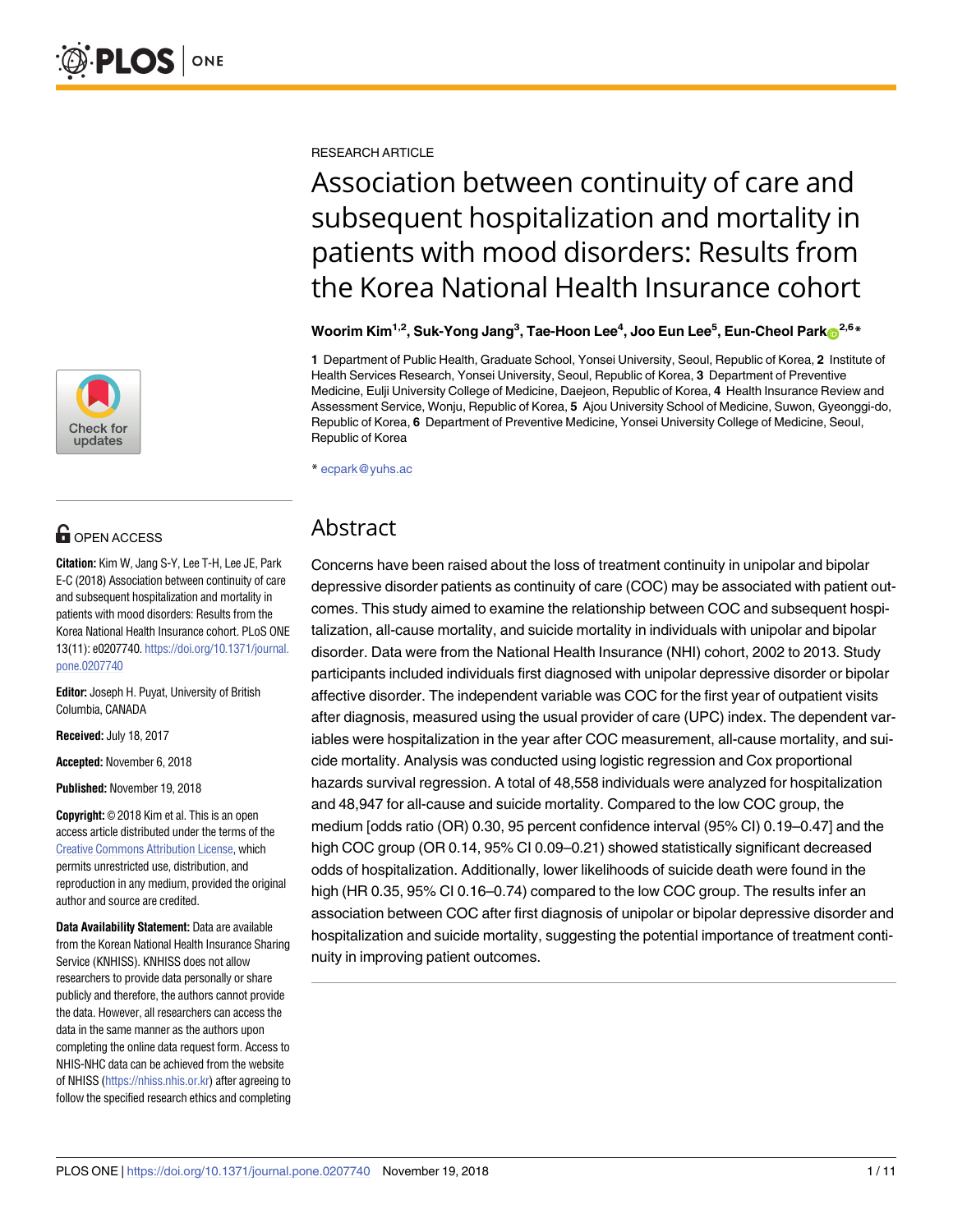

# **OPEN ACCESS**

**Citation:** Kim W, Jang S-Y, Lee T-H, Lee JE, Park E-C (2018) Association between continuity of care and subsequent hospitalization and mortality in patients with mood disorders: Results from the Korea National Health Insurance cohort. PLoS ONE 13(11): e0207740. [https://doi.org/10.1371/journal.](https://doi.org/10.1371/journal.pone.0207740) [pone.0207740](https://doi.org/10.1371/journal.pone.0207740)

**Editor:** Joseph H. Puyat, University of British Columbia, CANADA

**Received:** July 18, 2017

**Accepted:** November 6, 2018

**Published:** November 19, 2018

**Copyright:** © 2018 Kim et al. This is an open access article distributed under the terms of the Creative Commons [Attribution](http://creativecommons.org/licenses/by/4.0/) License, which permits unrestricted use, distribution, and reproduction in any medium, provided the original author and source are credited.

**Data Availability Statement:** Data are available from the Korean National Health Insurance Sharing Service (KNHISS). KNHISS does not allow researchers to provide data personally or share publicly and therefore, the authors cannot provide the data. However, all researchers can access the data in the same manner as the authors upon completing the online data request form. Access to NHIS-NHC data can be achieved from the website of NHISS (<https://nhiss.nhis.or.kr>) after agreeing to follow the specified research ethics and completing RESEARCH ARTICLE

# Association between continuity of care and subsequent hospitalization and mortality in patients with mood disorders: Results from the Korea National Health Insurance cohort

**Woorim Kim1,2, Suk-Yong Jang3 , Tae-Hoon Lee4 , Joo Eun Lee5 , Eun-Cheol Par[kID](http://orcid.org/0000-0002-2306-5398)2,6\***

**1** Department of Public Health, Graduate School, Yonsei University, Seoul, Republic of Korea, **2** Institute of Health Services Research, Yonsei University, Seoul, Republic of Korea, **3** Department of Preventive Medicine, Eulji University College of Medicine, Daejeon, Republic of Korea, **4** Health Insurance Review and Assessment Service, Wonju, Republic of Korea, **5** Ajou University School of Medicine, Suwon, Gyeonggi-do, Republic of Korea, **6** Department of Preventive Medicine, Yonsei University College of Medicine, Seoul, Republic of Korea

\* ecpark@yuhs.ac

# Abstract

Concerns have been raised about the loss of treatment continuity in unipolar and bipolar depressive disorder patients as continuity of care (COC) may be associated with patient outcomes. This study aimed to examine the relationship between COC and subsequent hospitalization, all-cause mortality, and suicide mortality in individuals with unipolar and bipolar disorder. Data were from the National Health Insurance (NHI) cohort, 2002 to 2013. Study participants included individuals first diagnosed with unipolar depressive disorder or bipolar affective disorder. The independent variable was COC for the first year of outpatient visits after diagnosis, measured using the usual provider of care (UPC) index. The dependent variables were hospitalization in the year after COC measurement, all-cause mortality, and suicide mortality. Analysis was conducted using logistic regression and Cox proportional hazards survival regression. A total of 48,558 individuals were analyzed for hospitalization and 48,947 for all-cause and suicide mortality. Compared to the low COC group, the medium [odds ratio (OR) 0.30, 95 percent confidence interval (95% CI) 0.19–0.47] and the high COC group (OR 0.14, 95% CI 0.09–0.21) showed statistically significant decreased odds of hospitalization. Additionally, lower likelihoods of suicide death were found in the high (HR 0.35, 95% CI 0.16–0.74) compared to the low COC group. The results infer an association between COC after first diagnosis of unipolar or bipolar depressive disorder and hospitalization and suicide mortality, suggesting the potential importance of treatment continuity in improving patient outcomes.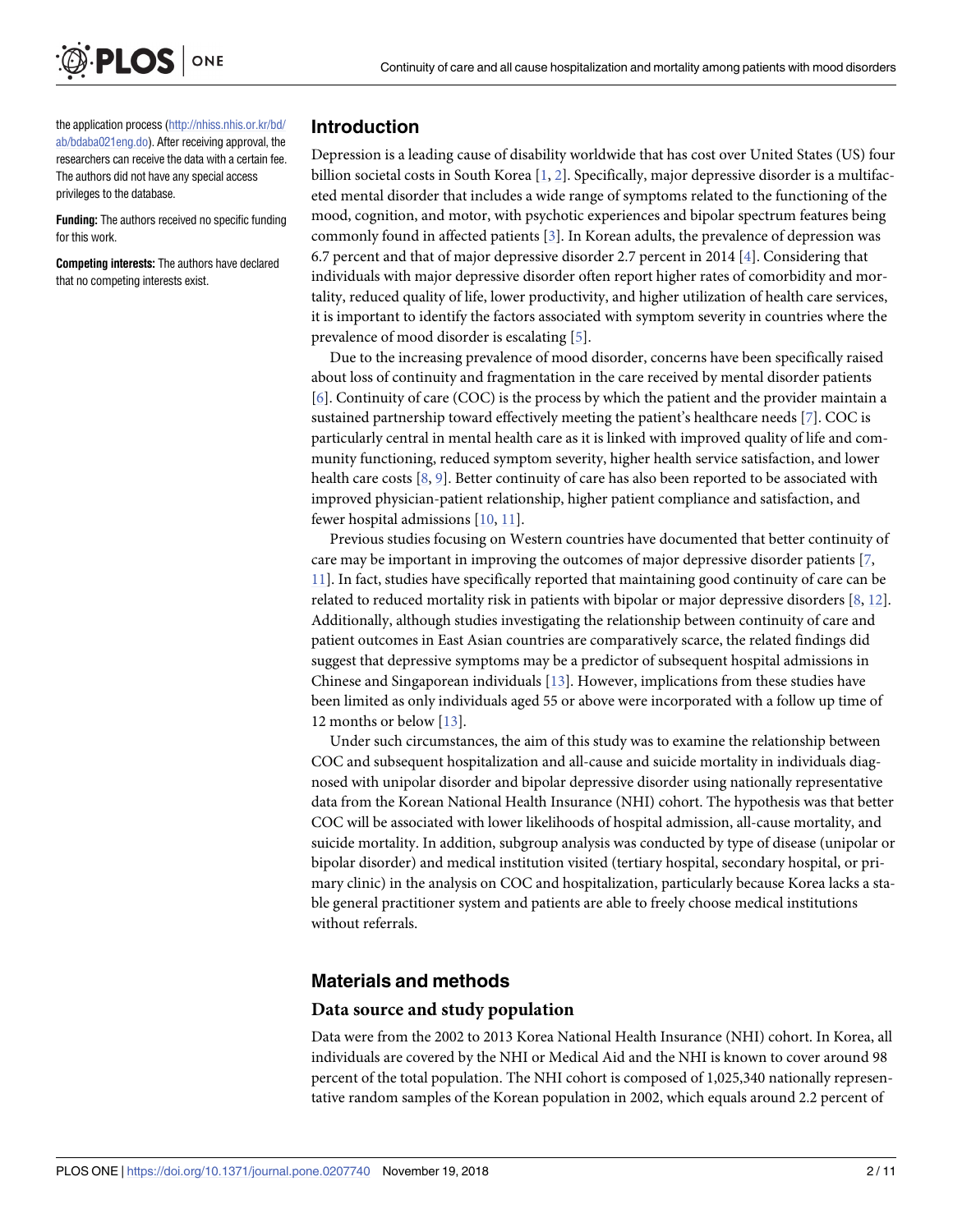<span id="page-1-0"></span>

the application process [\(http://nhiss.nhis.or.kr/bd/](http://nhiss.nhis.or.kr/bd/ab/bdaba021eng.do) [ab/bdaba021eng.do](http://nhiss.nhis.or.kr/bd/ab/bdaba021eng.do)). After receiving approval, the researchers can receive the data with a certain fee. The authors did not have any special access privileges to the database.

**Funding:** The authors received no specific funding for this work.

**Competing interests:** The authors have declared that no competing interests exist.

# **Introduction**

Depression is a leading cause of disability worldwide that has cost over United States (US) four billion societal costs in South Korea [\[1,](#page-8-0) [2](#page-8-0)]. Specifically, major depressive disorder is a multifaceted mental disorder that includes a wide range of symptoms related to the functioning of the mood, cognition, and motor, with psychotic experiences and bipolar spectrum features being commonly found in affected patients [\[3](#page-8-0)]. In Korean adults, the prevalence of depression was 6.7 percent and that of major depressive disorder 2.7 percent in 2014 [\[4\]](#page-8-0). Considering that individuals with major depressive disorder often report higher rates of comorbidity and mortality, reduced quality of life, lower productivity, and higher utilization of health care services, it is important to identify the factors associated with symptom severity in countries where the prevalence of mood disorder is escalating [[5](#page-9-0)].

Due to the increasing prevalence of mood disorder, concerns have been specifically raised about loss of continuity and fragmentation in the care received by mental disorder patients [\[6](#page-9-0)]. Continuity of care (COC) is the process by which the patient and the provider maintain a sustained partnership toward effectively meeting the patient's healthcare needs [[7](#page-9-0)]. COC is particularly central in mental health care as it is linked with improved quality of life and community functioning, reduced symptom severity, higher health service satisfaction, and lower health care costs [[8](#page-9-0), [9\]](#page-9-0). Better continuity of care has also been reported to be associated with improved physician-patient relationship, higher patient compliance and satisfaction, and fewer hospital admissions [\[10,](#page-9-0) [11](#page-9-0)].

Previous studies focusing on Western countries have documented that better continuity of care may be important in improving the outcomes of major depressive disorder patients [\[7,](#page-9-0) [11\]](#page-9-0). In fact, studies have specifically reported that maintaining good continuity of care can be related to reduced mortality risk in patients with bipolar or major depressive disorders [[8](#page-9-0), [12](#page-9-0)]. Additionally, although studies investigating the relationship between continuity of care and patient outcomes in East Asian countries are comparatively scarce, the related findings did suggest that depressive symptoms may be a predictor of subsequent hospital admissions in Chinese and Singaporean individuals [[13](#page-9-0)]. However, implications from these studies have been limited as only individuals aged 55 or above were incorporated with a follow up time of 12 months or below [[13](#page-9-0)].

Under such circumstances, the aim of this study was to examine the relationship between COC and subsequent hospitalization and all-cause and suicide mortality in individuals diagnosed with unipolar disorder and bipolar depressive disorder using nationally representative data from the Korean National Health Insurance (NHI) cohort. The hypothesis was that better COC will be associated with lower likelihoods of hospital admission, all-cause mortality, and suicide mortality. In addition, subgroup analysis was conducted by type of disease (unipolar or bipolar disorder) and medical institution visited (tertiary hospital, secondary hospital, or primary clinic) in the analysis on COC and hospitalization, particularly because Korea lacks a stable general practitioner system and patients are able to freely choose medical institutions without referrals.

# **Materials and methods**

#### **Data source and study population**

Data were from the 2002 to 2013 Korea National Health Insurance (NHI) cohort. In Korea, all individuals are covered by the NHI or Medical Aid and the NHI is known to cover around 98 percent of the total population. The NHI cohort is composed of 1,025,340 nationally representative random samples of the Korean population in 2002, which equals around 2.2 percent of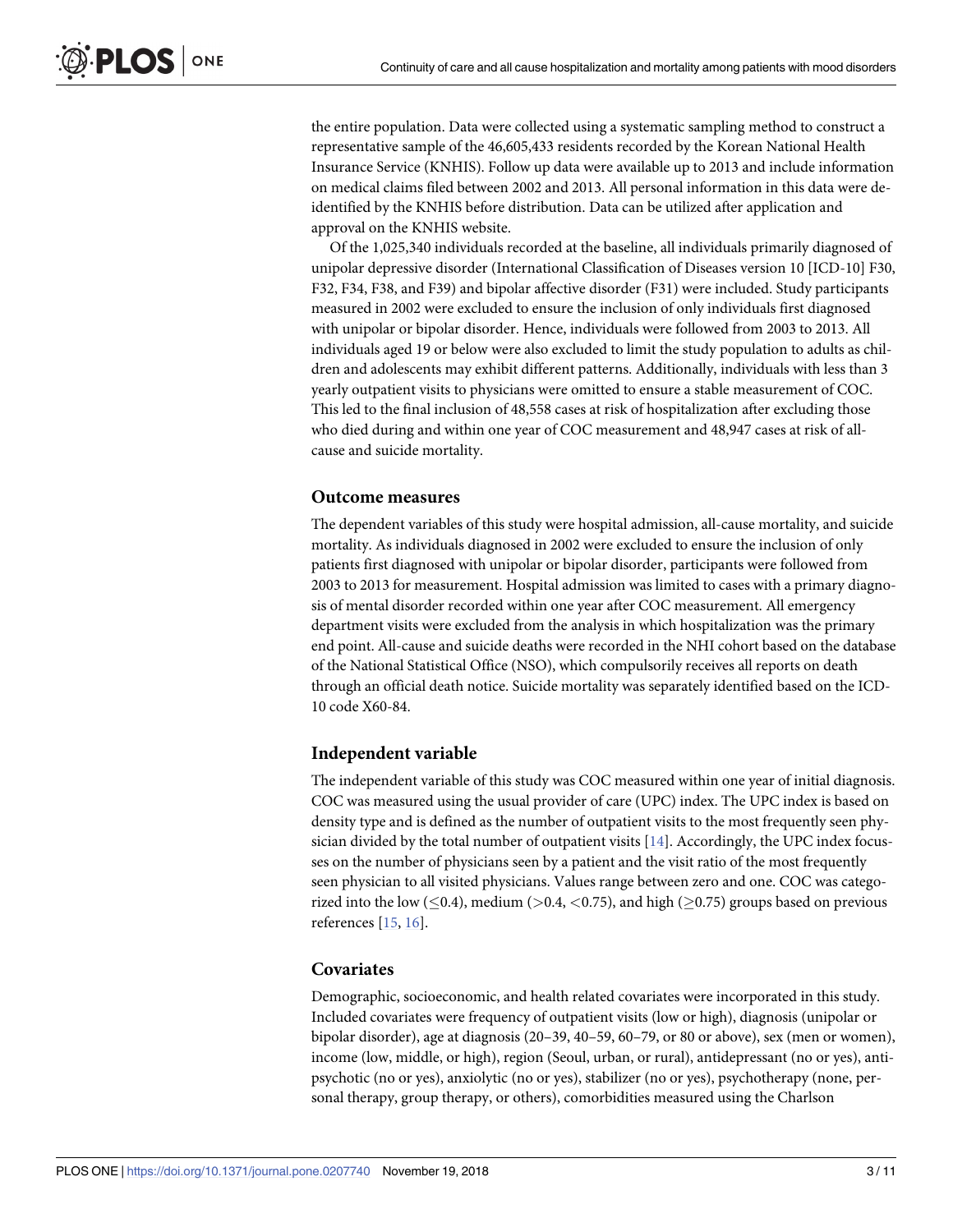<span id="page-2-0"></span>the entire population. Data were collected using a systematic sampling method to construct a representative sample of the 46,605,433 residents recorded by the Korean National Health Insurance Service (KNHIS). Follow up data were available up to 2013 and include information on medical claims filed between 2002 and 2013. All personal information in this data were deidentified by the KNHIS before distribution. Data can be utilized after application and approval on the KNHIS website.

Of the 1,025,340 individuals recorded at the baseline, all individuals primarily diagnosed of unipolar depressive disorder (International Classification of Diseases version 10 [ICD-10] F30, F32, F34, F38, and F39) and bipolar affective disorder (F31) were included. Study participants measured in 2002 were excluded to ensure the inclusion of only individuals first diagnosed with unipolar or bipolar disorder. Hence, individuals were followed from 2003 to 2013. All individuals aged 19 or below were also excluded to limit the study population to adults as children and adolescents may exhibit different patterns. Additionally, individuals with less than 3 yearly outpatient visits to physicians were omitted to ensure a stable measurement of COC. This led to the final inclusion of 48,558 cases at risk of hospitalization after excluding those who died during and within one year of COC measurement and 48,947 cases at risk of allcause and suicide mortality.

#### **Outcome measures**

The dependent variables of this study were hospital admission, all-cause mortality, and suicide mortality. As individuals diagnosed in 2002 were excluded to ensure the inclusion of only patients first diagnosed with unipolar or bipolar disorder, participants were followed from 2003 to 2013 for measurement. Hospital admission was limited to cases with a primary diagnosis of mental disorder recorded within one year after COC measurement. All emergency department visits were excluded from the analysis in which hospitalization was the primary end point. All-cause and suicide deaths were recorded in the NHI cohort based on the database of the National Statistical Office (NSO), which compulsorily receives all reports on death through an official death notice. Suicide mortality was separately identified based on the ICD-10 code X60-84.

## **Independent variable**

The independent variable of this study was COC measured within one year of initial diagnosis. COC was measured using the usual provider of care (UPC) index. The UPC index is based on density type and is defined as the number of outpatient visits to the most frequently seen physician divided by the total number of outpatient visits [\[14\]](#page-9-0). Accordingly, the UPC index focusses on the number of physicians seen by a patient and the visit ratio of the most frequently seen physician to all visited physicians. Values range between zero and one. COC was categorized into the low ( $\leq$ 0.4), medium ( $>$ 0.4,  $<$ 0.75), and high ( $\geq$ 0.75) groups based on previous references [\[15,](#page-9-0) [16\]](#page-9-0).

#### **Covariates**

Demographic, socioeconomic, and health related covariates were incorporated in this study. Included covariates were frequency of outpatient visits (low or high), diagnosis (unipolar or bipolar disorder), age at diagnosis (20–39, 40–59, 60–79, or 80 or above), sex (men or women), income (low, middle, or high), region (Seoul, urban, or rural), antidepressant (no or yes), antipsychotic (no or yes), anxiolytic (no or yes), stabilizer (no or yes), psychotherapy (none, personal therapy, group therapy, or others), comorbidities measured using the Charlson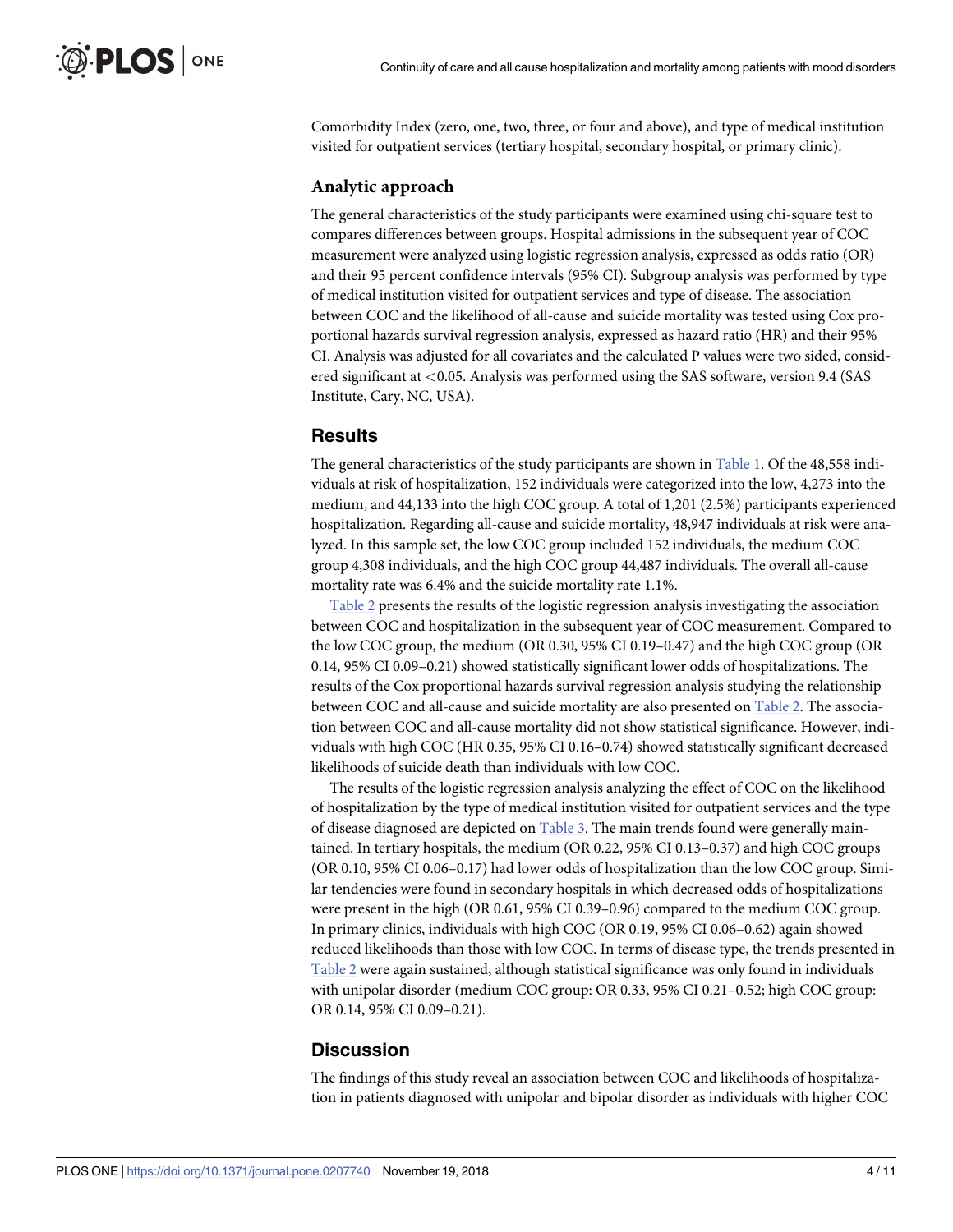<span id="page-3-0"></span>Comorbidity Index (zero, one, two, three, or four and above), and type of medical institution visited for outpatient services (tertiary hospital, secondary hospital, or primary clinic).

## **Analytic approach**

The general characteristics of the study participants were examined using chi-square test to compares differences between groups. Hospital admissions in the subsequent year of COC measurement were analyzed using logistic regression analysis, expressed as odds ratio (OR) and their 95 percent confidence intervals (95% CI). Subgroup analysis was performed by type of medical institution visited for outpatient services and type of disease. The association between COC and the likelihood of all-cause and suicide mortality was tested using Cox proportional hazards survival regression analysis, expressed as hazard ratio (HR) and their 95% CI. Analysis was adjusted for all covariates and the calculated P values were two sided, considered significant at *<*0.05. Analysis was performed using the SAS software, version 9.4 (SAS Institute, Cary, NC, USA).

# **Results**

The general characteristics of the study participants are shown in [Table](#page-4-0) 1. Of the 48,558 individuals at risk of hospitalization, 152 individuals were categorized into the low, 4,273 into the medium, and 44,133 into the high COC group. A total of 1,201 (2.5%) participants experienced hospitalization. Regarding all-cause and suicide mortality, 48,947 individuals at risk were analyzed. In this sample set, the low COC group included 152 individuals, the medium COC group 4,308 individuals, and the high COC group 44,487 individuals. The overall all-cause mortality rate was 6.4% and the suicide mortality rate 1.1%.

[Table](#page-6-0) 2 presents the results of the logistic regression analysis investigating the association between COC and hospitalization in the subsequent year of COC measurement. Compared to the low COC group, the medium (OR 0.30, 95% CI 0.19–0.47) and the high COC group (OR 0.14, 95% CI 0.09–0.21) showed statistically significant lower odds of hospitalizations. The results of the Cox proportional hazards survival regression analysis studying the relationship between COC and all-cause and suicide mortality are also presented on [Table](#page-6-0) 2. The association between COC and all-cause mortality did not show statistical significance. However, individuals with high COC (HR 0.35, 95% CI 0.16–0.74) showed statistically significant decreased likelihoods of suicide death than individuals with low COC.

The results of the logistic regression analysis analyzing the effect of COC on the likelihood of hospitalization by the type of medical institution visited for outpatient services and the type of disease diagnosed are depicted on [Table](#page-7-0) 3. The main trends found were generally maintained. In tertiary hospitals, the medium (OR 0.22, 95% CI 0.13–0.37) and high COC groups (OR 0.10, 95% CI 0.06–0.17) had lower odds of hospitalization than the low COC group. Similar tendencies were found in secondary hospitals in which decreased odds of hospitalizations were present in the high (OR 0.61, 95% CI 0.39–0.96) compared to the medium COC group. In primary clinics, individuals with high COC (OR 0.19, 95% CI 0.06–0.62) again showed reduced likelihoods than those with low COC. In terms of disease type, the trends presented in [Table](#page-6-0) 2 were again sustained, although statistical significance was only found in individuals with unipolar disorder (medium COC group: OR 0.33, 95% CI 0.21–0.52; high COC group: OR 0.14, 95% CI 0.09–0.21).

# **Discussion**

The findings of this study reveal an association between COC and likelihoods of hospitalization in patients diagnosed with unipolar and bipolar disorder as individuals with higher COC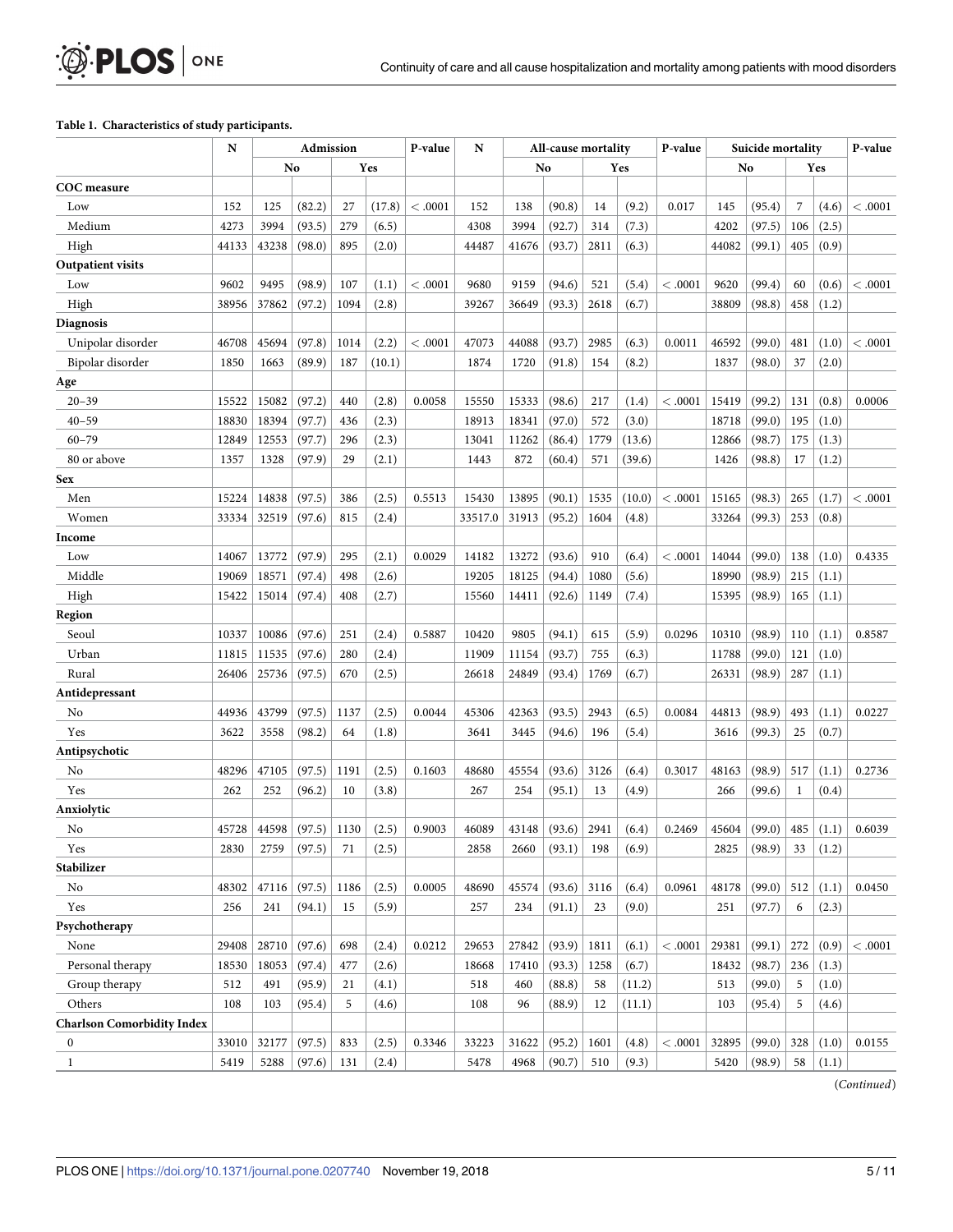#### <span id="page-4-0"></span>**[Table](#page-3-0) 1. Characteristics of study participants.**

|                                   | N     |       | <b>Admission</b> |         | P-value | N       | <b>All-cause mortality</b> |       |        | P-value    | Suicide mortality |             |       |                  | P-value  |       |         |
|-----------------------------------|-------|-------|------------------|---------|---------|---------|----------------------------|-------|--------|------------|-------------------|-------------|-------|------------------|----------|-------|---------|
|                                   |       |       | No               |         | Yes     |         |                            | No    |        |            | Yes               |             | No    |                  |          | Yes   |         |
| <b>COC</b> measure                |       |       |                  |         |         |         |                            |       |        |            |                   |             |       |                  |          |       |         |
| Low                               | 152   | 125   | (82.2)           | 27      | (17.8)  | < 0.001 | 152                        | 138   | (90.8) | 14         | (9.2)             | 0.017       | 145   | (95.4)           | 7        | (4.6) | < 0.001 |
| Medium                            | 4273  | 3994  | (93.5)           | 279     | (6.5)   |         | 4308                       | 3994  | (92.7) | 314        | (7.3)             |             | 4202  | (97.5)           | 106      | (2.5) |         |
| High                              | 44133 | 43238 | (98.0)           | 895     | (2.0)   |         | 44487                      | 41676 | (93.7) | 2811       | (6.3)             |             | 44082 | (99.1)           | 405      | (0.9) |         |
| <b>Outpatient visits</b>          |       |       |                  |         |         |         |                            |       |        |            |                   |             |       |                  |          |       |         |
| Low                               | 9602  | 9495  | (98.9)           | 107     | (1.1)   | < 0.001 | 9680                       | 9159  | (94.6) | 521        | (5.4)             | < 0.001     | 9620  | (99.4)           | 60       | (0.6) | < .0001 |
| High                              | 38956 | 37862 | (97.2)           | 1094    | (2.8)   |         | 39267                      | 36649 | (93.3) | 2618       | (6.7)             |             | 38809 | (98.8)           | 458      | (1.2) |         |
| <b>Diagnosis</b>                  |       |       |                  |         |         |         |                            |       |        |            |                   |             |       |                  |          |       |         |
| Unipolar disorder                 | 46708 | 45694 | (97.8)           | 1014    | (2.2)   | <.0001  | 47073                      | 44088 | (93.7) | 2985       | (6.3)             | 0.0011      | 46592 | (99.0)           | 481      | (1.0) | < .0001 |
| Bipolar disorder                  | 1850  | 1663  | (89.9)           | 187     | (10.1)  |         | 1874                       | 1720  | (91.8) | 154        | (8.2)             |             | 1837  | (98.0)           | 37       | (2.0) |         |
| Age                               |       |       |                  |         |         |         |                            |       |        |            |                   |             |       |                  |          |       |         |
| $20 - 39$                         | 15522 | 15082 | (97.2)           | 440     | (2.8)   | 0.0058  | 15550                      | 15333 | (98.6) | 217        | (1.4)             | $<$ $.0001$ | 15419 | (99.2)           | 131      | (0.8) | 0.0006  |
| $40 - 59$                         | 18830 | 18394 | (97.7)           | 436     | (2.3)   |         | 18913                      | 18341 | (97.0) | 572        | (3.0)             |             | 18718 | (99.0)           | 195      | (1.0) |         |
| $60 - 79$                         | 12849 | 12553 | (97.7)           | 296     | (2.3)   |         | 13041                      | 11262 | (86.4) | 1779       | (13.6)            |             | 12866 | (98.7)           | 175      | (1.3) |         |
| 80 or above                       | 1357  | 1328  | (97.9)           | 29      | (2.1)   |         | 1443                       | 872   | (60.4) | 571        | (39.6)            |             | 1426  | (98.8)           | 17       | (1.2) |         |
| Sex                               |       |       |                  |         |         |         |                            |       |        |            |                   |             |       |                  |          |       |         |
| Men                               | 15224 | 14838 | (97.5)           | 386     | (2.5)   | 0.5513  | 15430                      | 13895 | (90.1) | 1535       | (10.0)            | < .0001     | 15165 | (98.3)           | 265      | (1.7) | < 0.001 |
| Women                             | 33334 | 32519 | (97.6)           | 815     | (2.4)   |         | 33517.0                    | 31913 | (95.2) | 1604       | (4.8)             |             | 33264 | (99.3)           | 253      | (0.8) |         |
| Income                            |       |       |                  |         |         |         |                            |       |        |            |                   |             |       |                  |          |       |         |
| Low                               | 14067 | 13772 | (97.9)           | 295     | (2.1)   | 0.0029  | 14182                      | 13272 | (93.6) | 910        | (6.4)             | < .0001     | 14044 | (99.0)           | 138      | (1.0) | 0.4335  |
| Middle                            | 19069 | 18571 | (97.4)           | 498     | (2.6)   |         | 19205                      | 18125 | (94.4) | 1080       | (5.6)             |             | 18990 | (98.9)           | 215      | (1.1) |         |
| High                              | 15422 | 15014 | (97.4)           | 408     | (2.7)   |         | 15560                      | 14411 | (92.6) | 1149       | (7.4)             |             | 15395 | (98.9)           | 165      | (1.1) |         |
| Region                            |       |       |                  |         |         |         |                            |       |        |            |                   |             |       |                  |          |       |         |
| Seoul                             | 10337 | 10086 | (97.6)           | 251     | (2.4)   | 0.5887  | 10420                      | 9805  | (94.1) | 615        | (5.9)             | 0.0296      | 10310 | (98.9)           | 110      | (1.1) | 0.8587  |
| Urban                             | 11815 | 11535 | (97.6)           | 280     | (2.4)   |         | 11909                      | 11154 | (93.7) | 755        | (6.3)             |             | 11788 | (99.0)           | 121      | (1.0) |         |
| Rural                             | 26406 | 25736 | (97.5)           | 670     | (2.5)   |         | 26618                      | 24849 | (93.4) | 1769       | (6.7)             |             | 26331 | (98.9)           | 287      | (1.1) |         |
| Antidepressant                    |       |       |                  |         |         |         |                            |       |        |            |                   |             |       |                  |          |       |         |
| No                                | 44936 | 43799 | (97.5)           | 1137    | (2.5)   | 0.0044  | 45306                      | 42363 | (93.5) | 2943       | (6.5)             | 0.0084      | 44813 | (98.9)           | 493      | (1.1) | 0.0227  |
| Yes                               | 3622  | 3558  | (98.2)           | 64      | (1.8)   |         | 3641                       | 3445  | (94.6) | 196        | (5.4)             |             | 3616  | (99.3)           | 25       | (0.7) |         |
| Antipsychotic                     |       |       |                  |         |         |         |                            |       |        |            |                   |             |       |                  |          |       |         |
| No                                | 48296 | 47105 | (97.5)           | 1191    | (2.5)   | 0.1603  | 48680                      | 45554 | (93.6) | 3126       | (6.4)             | 0.3017      | 48163 | (98.9)           | 517      | (1.1) | 0.2736  |
| Yes                               | 262   | 252   | (96.2)           | 10      | (3.8)   |         | 267                        | 254   | (95.1) | 13         | (4.9)             |             | 266   | (99.6)           | 1        | (0.4) |         |
| Anxiolytic                        |       |       |                  |         |         |         |                            |       |        |            |                   |             |       |                  |          |       |         |
| No                                | 45728 | 44598 | (97.5)           | 1130    | (2.5)   | 0.9003  | 46089                      | 43148 | (93.6) | 2941       | (6.4)             | 0.2469      | 45604 | (99.0)           | 485      | (1.1) | 0.6039  |
| Yes                               | 2830  | 2759  | (97.5)           | 71      | (2.5)   |         | 2858                       | 2660  | (93.1) | 198        | (6.9)             |             | 2825  | (98.9)           | 33       | (1.2) |         |
| Stabilizer                        |       |       |                  |         |         |         |                            |       |        |            |                   |             |       |                  |          |       |         |
| No                                | 48302 | 47116 | (97.5)           | 1186    | (2.5)   | 0.0005  | 48690                      | 45574 | (93.6) | 3116       | (6.4)             | 0.0961      | 48178 | (99.0)           | 512      | (1.1) | 0.0450  |
| Yes                               | 256   | 241   | (94.1)           | 15      | (5.9)   |         | 257                        | 234   | (91.1) | 23         | (9.0)             |             | 251   | (97.7)           | 6        | (2.3) |         |
| Psychotherapy                     |       |       |                  |         |         |         |                            |       |        |            |                   |             |       |                  |          |       |         |
| None                              | 29408 | 28710 | (97.6)           | 698     | (2.4)   | 0.0212  | 29653                      | 27842 | (93.9) | 1811       | (6.1)             | $<.0001\,$  | 29381 | (99.1)           | 272      | (0.9) | < .0001 |
| Personal therapy                  |       |       |                  |         |         |         |                            |       |        |            |                   |             |       |                  |          |       |         |
| Group therapy                     | 18530 | 18053 | (97.4)           | 477     | (2.6)   |         | 18668                      | 17410 | (93.3) | 1258<br>58 | (6.7)<br>(11.2)   |             | 18432 | (98.7)<br>(99.0) | 236<br>5 | (1.3) |         |
| Others                            | 512   | 491   | (95.9)           | 21<br>5 | (4.1)   |         | 518                        | 460   | (88.8) |            |                   |             | 513   |                  | 5        | (1.0) |         |
|                                   | 108   | 103   | (95.4)           |         | (4.6)   |         | 108                        | 96    | (88.9) | 12         | (11.1)            |             | 103   | (95.4)           |          | (4.6) |         |
| <b>Charlson Comorbidity Index</b> |       |       |                  |         |         |         |                            |       |        |            |                   |             |       |                  |          |       |         |
| $\boldsymbol{0}$                  | 33010 | 32177 | (97.5)           | 833     | (2.5)   | 0.3346  | 33223                      | 31622 | (95.2) | 1601       | (4.8)             | < .0001     | 32895 | (99.0)           | 328      | (1.0) | 0.0155  |
| 1                                 | 5419  | 5288  | (97.6)           | 131     | (2.4)   |         | 5478                       | 4968  | (90.7) | 510        | (9.3)             |             | 5420  | (98.9)           | 58       | (1.1) |         |

(*Continued*)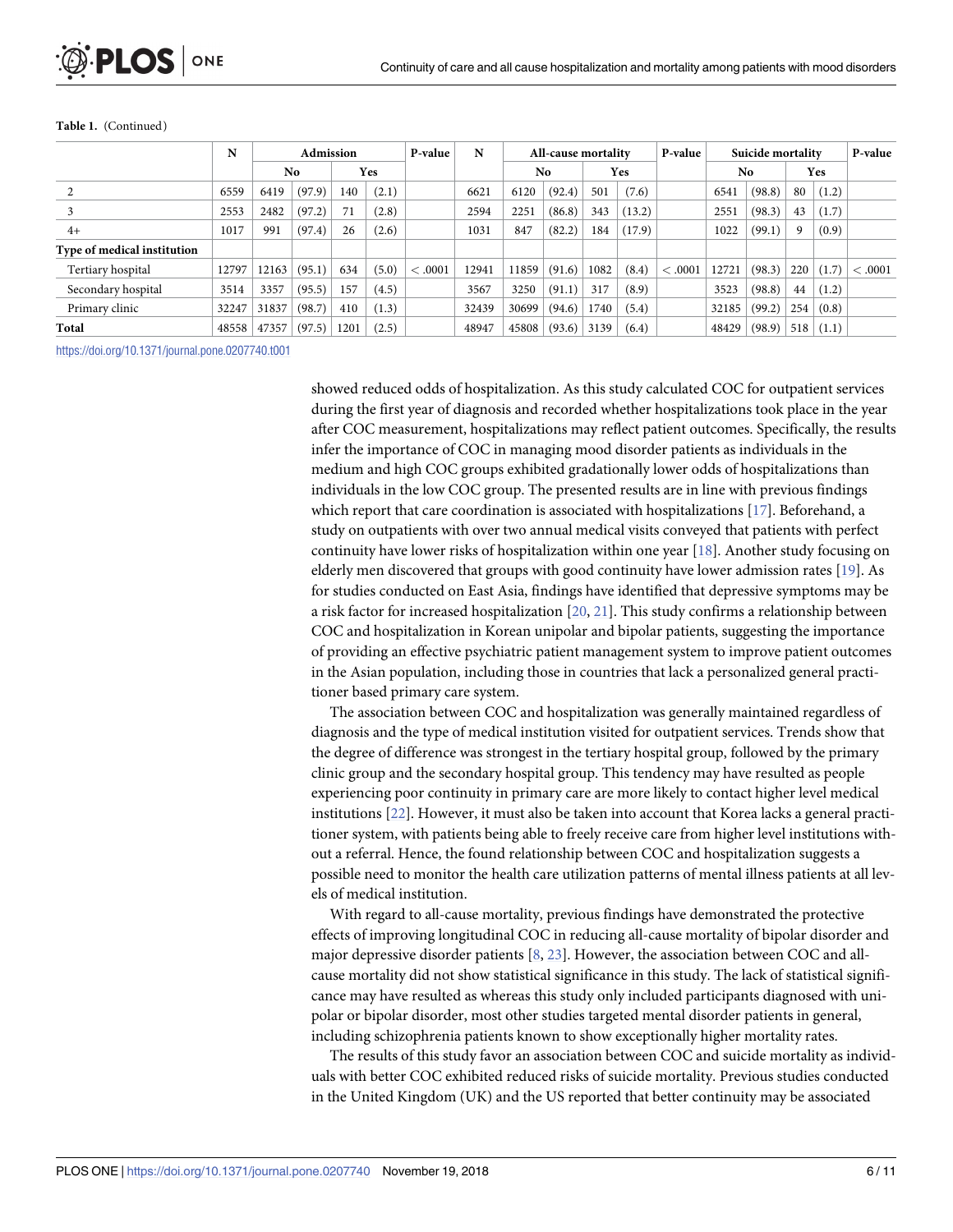|                             | N     | Admission      |        |      | P-value | N       | All-cause mortality |       |        | P-value | Suicide mortality |         |       | P-value |             |       |         |
|-----------------------------|-------|----------------|--------|------|---------|---------|---------------------|-------|--------|---------|-------------------|---------|-------|---------|-------------|-------|---------|
|                             |       | N <sub>0</sub> |        |      | Yes     |         |                     | No    |        |         | Yes               |         | No    |         |             | Yes   |         |
|                             | 6559  | 6419           | (97.9) | 140  | (2.1)   |         | 6621                | 6120  | (92.4) | 501     | (7.6)             |         | 6541  | (98.8)  | 80          | (1.2) |         |
|                             | 2553  | 2482           | (97.2) | 71   | (2.8)   |         | 2594                | 2251  | (86.8) | 343     | (13.2)            |         | 2551  | (98.3)  | 43          | (1.7) |         |
| $4+$                        | 1017  | 991            | (97.4) | 26   | (2.6)   |         | 1031                | 847   | (82.2) | 184     | (17.9)            |         | 1022  | (99.1)  | $\mathbf Q$ | (0.9) |         |
| Type of medical institution |       |                |        |      |         |         |                     |       |        |         |                   |         |       |         |             |       |         |
| Tertiary hospital           | 12797 | 12163          | (95.1) | 634  | (5.0)   | < .0001 | 2941                | 11859 | (91.6) | 1082    | (8.4)             | < .0001 | 12721 | (98.3)  | 220         | (1.7) | < .0001 |
| Secondary hospital          | 3514  | 3357           | (95.5) | 157  | (4.5)   |         | 3567                | 3250  | (91.1) | 317     | (8.9)             |         | 3523  | (98.8)  | 44          | (1.2) |         |
| Primary clinic              | 32247 | 31837          | (98.7) | 410  | (1.3)   |         | 32439               | 30699 | (94.6) | 1740    | (5.4)             |         | 32185 | (99.2)  | 254         | (0.8) |         |
| Total                       | 48558 | 47357          | (97.5) | 1201 | (2.5)   |         | 48947               | 45808 | (93.6) | 3139    | (6.4)             |         | 48429 | (98.9)  | 518         | (1.1) |         |

#### <span id="page-5-0"></span>**Table 1.** (Continued)

<https://doi.org/10.1371/journal.pone.0207740.t001>

showed reduced odds of hospitalization. As this study calculated COC for outpatient services during the first year of diagnosis and recorded whether hospitalizations took place in the year after COC measurement, hospitalizations may reflect patient outcomes. Specifically, the results infer the importance of COC in managing mood disorder patients as individuals in the medium and high COC groups exhibited gradationally lower odds of hospitalizations than individuals in the low COC group. The presented results are in line with previous findings which report that care coordination is associated with hospitalizations [[17](#page-9-0)]. Beforehand, a study on outpatients with over two annual medical visits conveyed that patients with perfect continuity have lower risks of hospitalization within one year [\[18\]](#page-9-0). Another study focusing on elderly men discovered that groups with good continuity have lower admission rates [\[19\]](#page-9-0). As for studies conducted on East Asia, findings have identified that depressive symptoms may be a risk factor for increased hospitalization [[20](#page-9-0), [21\]](#page-9-0). This study confirms a relationship between COC and hospitalization in Korean unipolar and bipolar patients, suggesting the importance of providing an effective psychiatric patient management system to improve patient outcomes in the Asian population, including those in countries that lack a personalized general practitioner based primary care system.

The association between COC and hospitalization was generally maintained regardless of diagnosis and the type of medical institution visited for outpatient services. Trends show that the degree of difference was strongest in the tertiary hospital group, followed by the primary clinic group and the secondary hospital group. This tendency may have resulted as people experiencing poor continuity in primary care are more likely to contact higher level medical institutions [\[22\]](#page-9-0). However, it must also be taken into account that Korea lacks a general practitioner system, with patients being able to freely receive care from higher level institutions without a referral. Hence, the found relationship between COC and hospitalization suggests a possible need to monitor the health care utilization patterns of mental illness patients at all levels of medical institution.

With regard to all-cause mortality, previous findings have demonstrated the protective effects of improving longitudinal COC in reducing all-cause mortality of bipolar disorder and major depressive disorder patients [\[8](#page-9-0), [23](#page-9-0)]. However, the association between COC and allcause mortality did not show statistical significance in this study. The lack of statistical significance may have resulted as whereas this study only included participants diagnosed with unipolar or bipolar disorder, most other studies targeted mental disorder patients in general, including schizophrenia patients known to show exceptionally higher mortality rates.

The results of this study favor an association between COC and suicide mortality as individuals with better COC exhibited reduced risks of suicide mortality. Previous studies conducted in the United Kingdom (UK) and the US reported that better continuity may be associated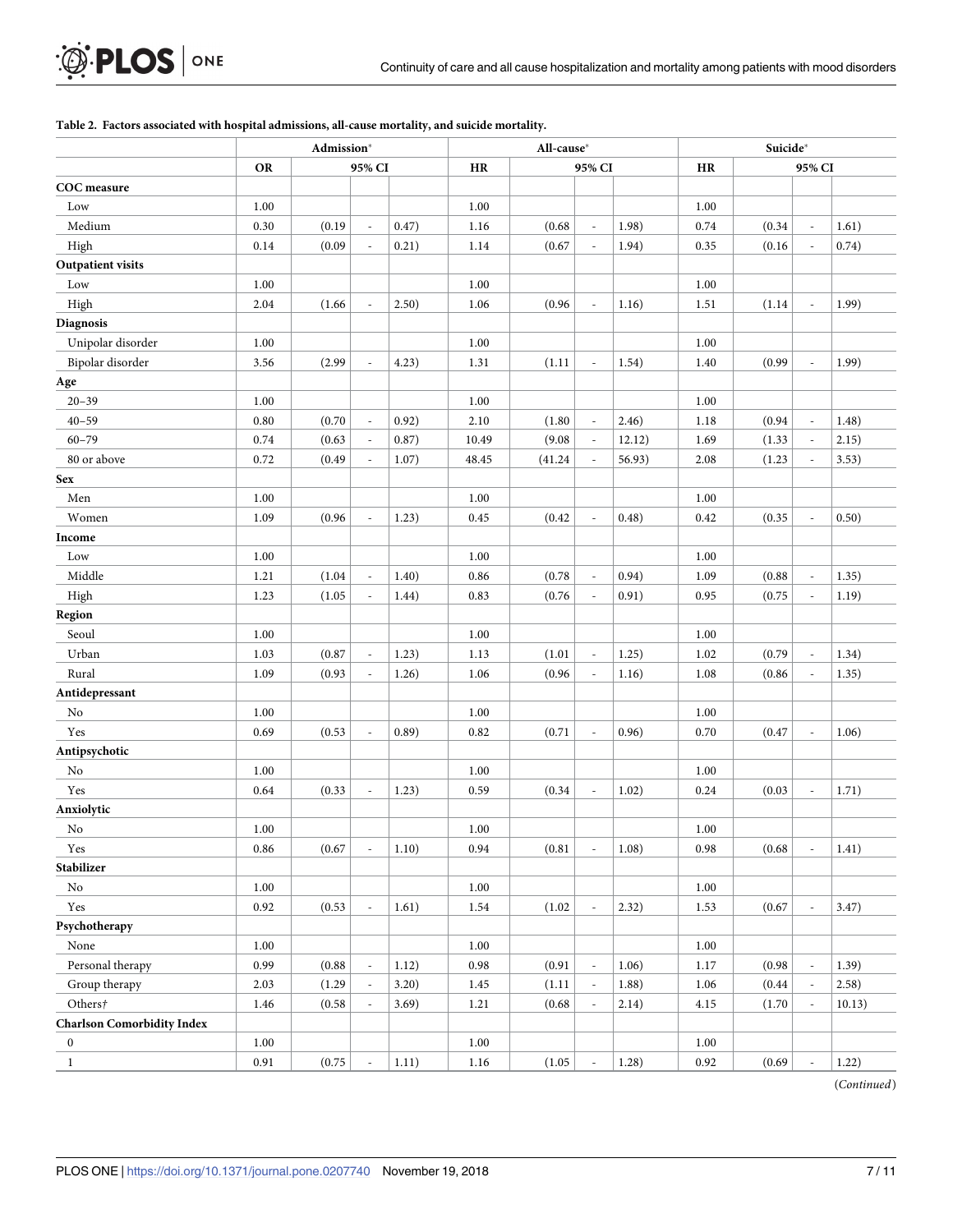|                                      |           | Admission* |                          |        |           | All-cause* |                          | Suicide* |           |        |                          |        |
|--------------------------------------|-----------|------------|--------------------------|--------|-----------|------------|--------------------------|----------|-----------|--------|--------------------------|--------|
|                                      | <b>OR</b> |            | 95% CI                   |        | <b>HR</b> |            | 95% CI                   |          | <b>HR</b> |        | 95% CI                   |        |
| <b>COC</b> measure                   |           |            |                          |        |           |            |                          |          |           |        |                          |        |
| Low                                  | 1.00      |            |                          |        | 1.00      |            |                          |          | 1.00      |        |                          |        |
| Medium                               | 0.30      | (0.19)     | $\overline{\phantom{a}}$ | 0.47)  | 1.16      | (0.68)     | $\overline{\phantom{a}}$ | 1.98)    | 0.74      | (0.34) | $\overline{\phantom{a}}$ | 1.61)  |
| High                                 | 0.14      | (0.09)     | $\overline{\phantom{a}}$ | 0.21)  | 1.14      | (0.67)     | $\overline{\phantom{a}}$ | 1.94)    | 0.35      | (0.16) | $\overline{\phantom{a}}$ | 0.74)  |
| <b>Outpatient visits</b>             |           |            |                          |        |           |            |                          |          |           |        |                          |        |
| Low                                  | 1.00      |            |                          |        | 1.00      |            |                          |          | 1.00      |        |                          |        |
| High                                 | 2.04      | (1.66)     |                          | 2.50)  | 1.06      | (0.96)     | $\overline{\phantom{a}}$ | 1.16)    | 1.51      | (1.14) | $\overline{\phantom{a}}$ | 1.99)  |
| Diagnosis                            |           |            |                          |        |           |            |                          |          |           |        |                          |        |
| Unipolar disorder                    | 1.00      |            |                          |        | 1.00      |            |                          |          | 1.00      |        |                          |        |
| Bipolar disorder                     | 3.56      | (2.99)     | $\overline{\phantom{a}}$ | 4.23)  | 1.31      | (1.11)     | $\overline{\phantom{a}}$ | 1.54)    | 1.40      | (0.99) | $\overline{\phantom{a}}$ | 1.99)  |
| Age                                  |           |            |                          |        |           |            |                          |          |           |        |                          |        |
| $20 - 39$                            | 1.00      |            |                          |        | 1.00      |            |                          |          | 1.00      |        |                          |        |
| $40 - 59$                            | 0.80      | (0.70)     | $\overline{\phantom{a}}$ | 0.92)  | 2.10      | (1.80)     | $\overline{\phantom{a}}$ | 2.46)    | 1.18      | (0.94) | ÷,                       | 1.48)  |
| $60 - 79$                            | 0.74      | (0.63)     | $\overline{\phantom{a}}$ | 0.87)  | 10.49     | (9.08)     | $\overline{\phantom{a}}$ | 12.12)   | 1.69      | (1.33) | $\overline{\phantom{m}}$ | 2.15)  |
| 80 or above                          | 0.72      | (0.49)     | $\overline{\phantom{a}}$ | 1.07)  | 48.45     | (41.24)    | $\overline{\phantom{a}}$ | 56.93)   | 2.08      | (1.23) | $\overline{\phantom{a}}$ | 3.53)  |
| Sex                                  |           |            |                          |        |           |            |                          |          |           |        |                          |        |
| Men                                  | 1.00      |            |                          |        | 1.00      |            |                          |          | 1.00      |        |                          |        |
| Women                                | 1.09      | (0.96)     | $\overline{\phantom{a}}$ | 1.23)  | 0.45      | (0.42)     | $\overline{\phantom{a}}$ | 0.48)    | 0.42      | (0.35) | $\overline{\phantom{a}}$ | 0.50)  |
| Income                               |           |            |                          |        |           |            |                          |          |           |        |                          |        |
| Low                                  | 1.00      |            |                          |        | 1.00      |            |                          |          | 1.00      |        |                          |        |
| Middle                               | 1.21      | (1.04)     | $\overline{\phantom{a}}$ | 1.40)  | 0.86      | (0.78)     | $\overline{\phantom{a}}$ | 0.94)    | 1.09      | (0.88) | $\overline{\phantom{a}}$ | 1.35)  |
| High                                 | 1.23      | (1.05)     | $\overline{\phantom{a}}$ | 1.44)  | 0.83      | (0.76)     | $\overline{\phantom{a}}$ | 0.91)    | 0.95      | (0.75) | ä,                       | 1.19)  |
| Region                               |           |            |                          |        |           |            |                          |          |           |        |                          |        |
| Seoul                                | 1.00      |            |                          |        | 1.00      |            |                          |          | 1.00      |        |                          |        |
| Urban                                | 1.03      | (0.87)     | $\overline{\phantom{a}}$ | 1.23)  | 1.13      | (1.01)     | $\overline{\phantom{a}}$ | 1.25)    | 1.02      | (0.79) | ÷,                       | 1.34)  |
| Rural                                | 1.09      | (0.93)     | $\overline{\phantom{a}}$ | 1.26)  | 1.06      | (0.96)     | $\overline{\phantom{a}}$ | 1.16)    | 1.08      | (0.86) | $\overline{\phantom{m}}$ | 1.35)  |
| Antidepressant                       |           |            |                          |        |           |            |                          |          |           |        |                          |        |
| No                                   | 1.00      |            |                          |        | 1.00      |            |                          |          | 1.00      |        |                          |        |
| Yes                                  | 0.69      | (0.53)     | $\overline{\phantom{a}}$ | (0.89) | 0.82      | (0.71)     | $\overline{\phantom{a}}$ | 0.96)    | 0.70      | (0.47) | $\overline{\phantom{a}}$ | 1.06)  |
| Antipsychotic                        |           |            |                          |        |           |            |                          |          |           |        |                          |        |
| No                                   | 1.00      |            |                          |        | 1.00      |            |                          |          | 1.00      |        |                          |        |
| Yes                                  | 0.64      | (0.33)     | $\overline{\phantom{a}}$ | 1.23)  | 0.59      | (0.34)     | $\overline{\phantom{a}}$ | 1.02)    | 0.24      | (0.03) | $\overline{\phantom{a}}$ | 1.71)  |
| Anxiolytic                           |           |            |                          |        |           |            |                          |          |           |        |                          |        |
| No                                   | 1.00      |            |                          |        | 1.00      |            |                          |          | 1.00      |        |                          |        |
| Yes                                  | 0.86      | (0.67)     | $\overline{\phantom{a}}$ | 1.10)  | 0.94      | (0.81)     | $\overline{\phantom{a}}$ | 1.08)    | 0.98      | (0.68) | $\overline{a}$           | 1.41)  |
| Stabilizer                           |           |            |                          |        |           |            |                          |          |           |        |                          |        |
| No                                   | 1.00      |            |                          |        | 1.00      |            |                          |          | 1.00      |        |                          |        |
| Yes                                  | 0.92      | (0.53)     | $\overline{\phantom{a}}$ | 1.61)  | 1.54      | (1.02)     | $\overline{\phantom{a}}$ | 2.32)    | 1.53      | (0.67) | $\frac{1}{2}$            | 3.47)  |
| Psychotherapy                        |           |            |                          |        |           |            |                          |          |           |        |                          |        |
| None                                 | 1.00      |            |                          |        | 1.00      |            |                          |          | 1.00      |        |                          |        |
| Personal therapy                     | 0.99      | (0.88)     | $\overline{\phantom{a}}$ | 1.12)  | 0.98      | (0.91)     | $\overline{\phantom{a}}$ | 1.06)    | $1.17\,$  | (0.98) | $\overline{\phantom{a}}$ | 1.39)  |
| Group therapy                        | 2.03      | (1.29)     | $\overline{\phantom{a}}$ | 3.20)  | $1.45\,$  | (1.11)     | $\overline{\phantom{a}}$ | 1.88)    | 1.06      | (0.44) | $\frac{1}{2}$            | 2.58)  |
| Others $\ensuremath{\mathnormal{t}}$ | 1.46      | (0.58)     | $\overline{\phantom{a}}$ | 3.69)  | 1.21      | (0.68)     | $\overline{\phantom{a}}$ | 2.14)    | 4.15      | (1.70) | ÷,                       | 10.13) |
| <b>Charlson Comorbidity Index</b>    |           |            |                          |        |           |            |                          |          |           |        |                          |        |
| $\boldsymbol{0}$                     | 1.00      |            |                          |        | 1.00      |            |                          |          | 1.00      |        |                          |        |
| $\mathbf{1}$                         | 0.91      | (0.75)     |                          | 1.11)  | 1.16      | (1.05)     |                          | 1.28)    | 0.92      | (0.69) | $\overline{\phantom{a}}$ | 1.22)  |
|                                      |           |            |                          |        |           |            |                          |          |           |        |                          |        |

#### <span id="page-6-0"></span>**[Table](#page-3-0) 2. Factors associated with hospital admissions, all-cause mortality, and suicide mortality.**

(*Continued*)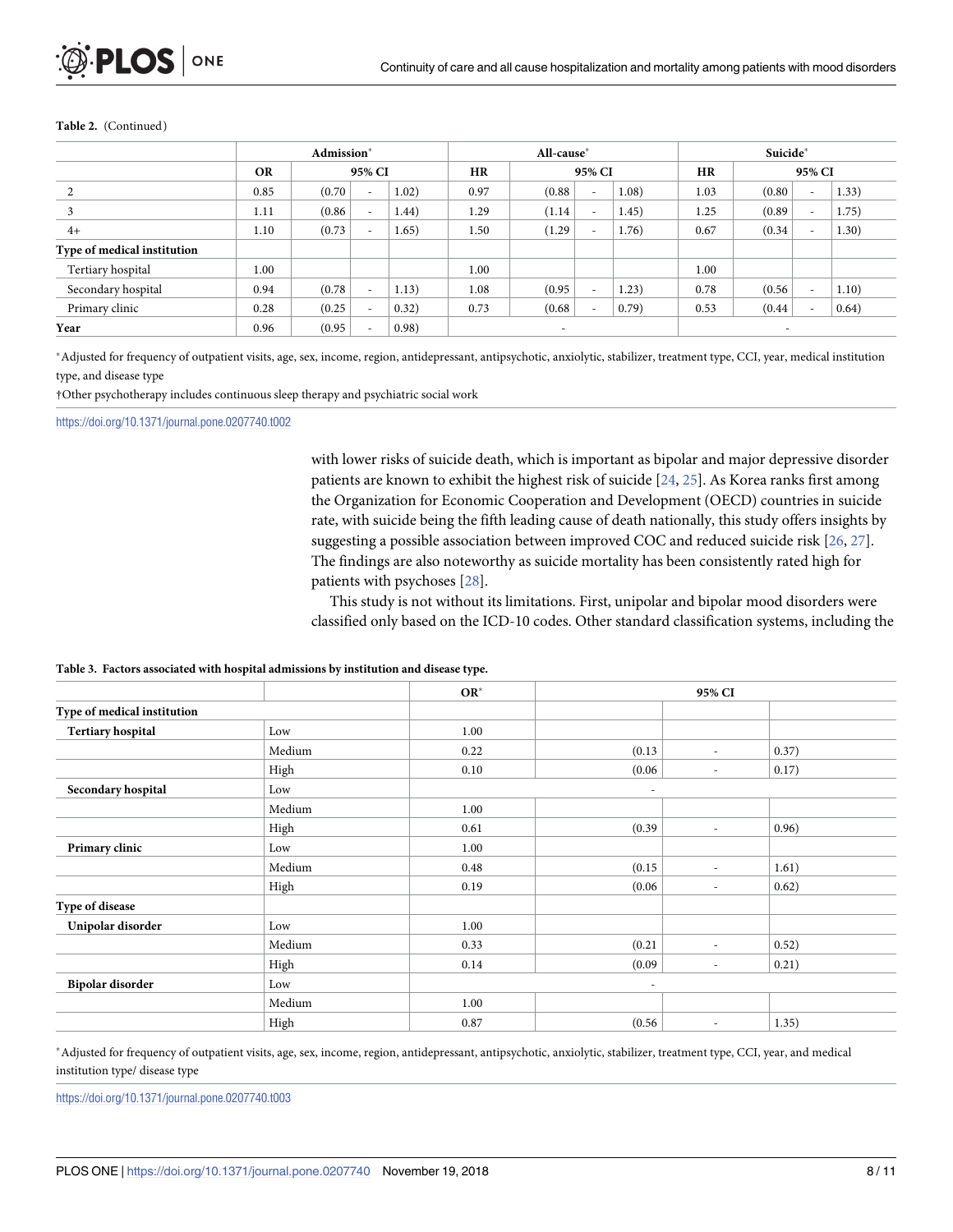|                             |           | Admission* |                          |       |           | All-cause*               |                          | Suicide* |           |        |   |       |
|-----------------------------|-----------|------------|--------------------------|-------|-----------|--------------------------|--------------------------|----------|-----------|--------|---|-------|
|                             | <b>OR</b> | 95% CI     |                          |       | <b>HR</b> | 95% CI                   |                          |          | <b>HR</b> | 95% CI |   |       |
|                             | 0.85      | (0.70)     | $\overline{\phantom{a}}$ | 1.02) | 0.97      | (0.88)                   | $\overline{\phantom{a}}$ | 1.08)    | 1.03      | (0.80) | - | 1.33) |
| 3                           | 1.11      | (0.86)     |                          | 1.44) | 1.29      | (1.14)                   | $\overline{\phantom{a}}$ | 1.45)    | 1.25      | (0.89) | - | 1.75) |
| $4+$                        | 1.10      | (0.73)     |                          | 1.65) | 1.50      | (1.29)                   | $\overline{\phantom{a}}$ | 1.76)    | 0.67      | (0.34) |   | 1.30) |
| Type of medical institution |           |            |                          |       |           |                          |                          |          |           |        |   |       |
| Tertiary hospital           | 1.00      |            |                          |       | 1.00      |                          |                          |          | 1.00      |        |   |       |
| Secondary hospital          | 0.94      | (0.78)     |                          | 1.13) | 1.08      | (0.95)                   | $\overline{\phantom{a}}$ | 1.23)    | 0.78      | (0.56) |   | 1.10) |
| Primary clinic              | 0.28      | (0.25)     |                          | 0.32) | 0.73      | (0.68)                   | $\overline{\phantom{a}}$ | (0.79)   | 0.53      | (0.44) | ۰ | 0.64) |
| Year                        | 0.96      | (0.95)     |                          | 0.98) |           | $\overline{\phantom{a}}$ |                          |          |           |        |   |       |

#### <span id="page-7-0"></span>**Table 2.** (Continued)

\*Adjusted for frequency of outpatient visits, age, sex, income, region, antidepressant, antipsychotic, anxiolytic, stabilizer, treatment type, CCI, year, medical institution type, and disease type

†Other psychotherapy includes continuous sleep therapy and psychiatric social work

<https://doi.org/10.1371/journal.pone.0207740.t002>

with lower risks of suicide death, which is important as bipolar and major depressive disorder patients are known to exhibit the highest risk of suicide [[24](#page-9-0), [25](#page-10-0)]. As Korea ranks first among the Organization for Economic Cooperation and Development (OECD) countries in suicide rate, with suicide being the fifth leading cause of death nationally, this study offers insights by suggesting a possible association between improved COC and reduced suicide risk [[26](#page-10-0), [27](#page-10-0)]. The findings are also noteworthy as suicide mortality has been consistently rated high for patients with psychoses [[28](#page-10-0)].

This study is not without its limitations. First, unipolar and bipolar mood disorders were classified only based on the ICD-10 codes. Other standard classification systems, including the

|                             |        | $OR^*$ |                          |                          |       |
|-----------------------------|--------|--------|--------------------------|--------------------------|-------|
| Type of medical institution |        |        |                          |                          |       |
| <b>Tertiary hospital</b>    | Low    | 1.00   |                          |                          |       |
|                             | Medium | 0.22   | (0.13)                   | $\overline{\phantom{a}}$ | 0.37) |
|                             | High   | 0.10   | (0.06)                   | $\overline{\phantom{a}}$ | 0.17) |
| Secondary hospital          | Low    |        | $\overline{\phantom{a}}$ |                          |       |
|                             | Medium | 1.00   |                          |                          |       |
|                             | High   | 0.61   | (0.39)                   | $\overline{\phantom{a}}$ | 0.96) |
| Primary clinic              | Low    | 1.00   |                          |                          |       |
|                             | Medium | 0.48   | (0.15)                   | $\overline{\phantom{a}}$ | 1.61) |
|                             | High   | 0.19   | (0.06)                   | $\overline{\phantom{a}}$ | 0.62) |
| Type of disease             |        |        |                          |                          |       |
| Unipolar disorder           | Low    | 1.00   |                          |                          |       |
|                             | Medium | 0.33   | (0.21)                   | $\overline{\phantom{a}}$ | 0.52) |
|                             | High   | 0.14   | (0.09)                   | $\overline{\phantom{a}}$ | 0.21) |
| Bipolar disorder            | Low    |        | $\overline{\phantom{a}}$ |                          |       |
|                             | Medium | 1.00   |                          |                          |       |
|                             | High   | 0.87   | (0.56)                   | $\overline{\phantom{a}}$ | 1.35) |
|                             |        |        |                          |                          |       |

#### **[Table](#page-3-0) 3. Factors associated with hospital admissions by institution and disease type.**

\*Adjusted for frequency of outpatient visits, age, sex, income, region, antidepressant, antipsychotic, anxiolytic, stabilizer, treatment type, CCI, year, and medical institution type/ disease type

<https://doi.org/10.1371/journal.pone.0207740.t003>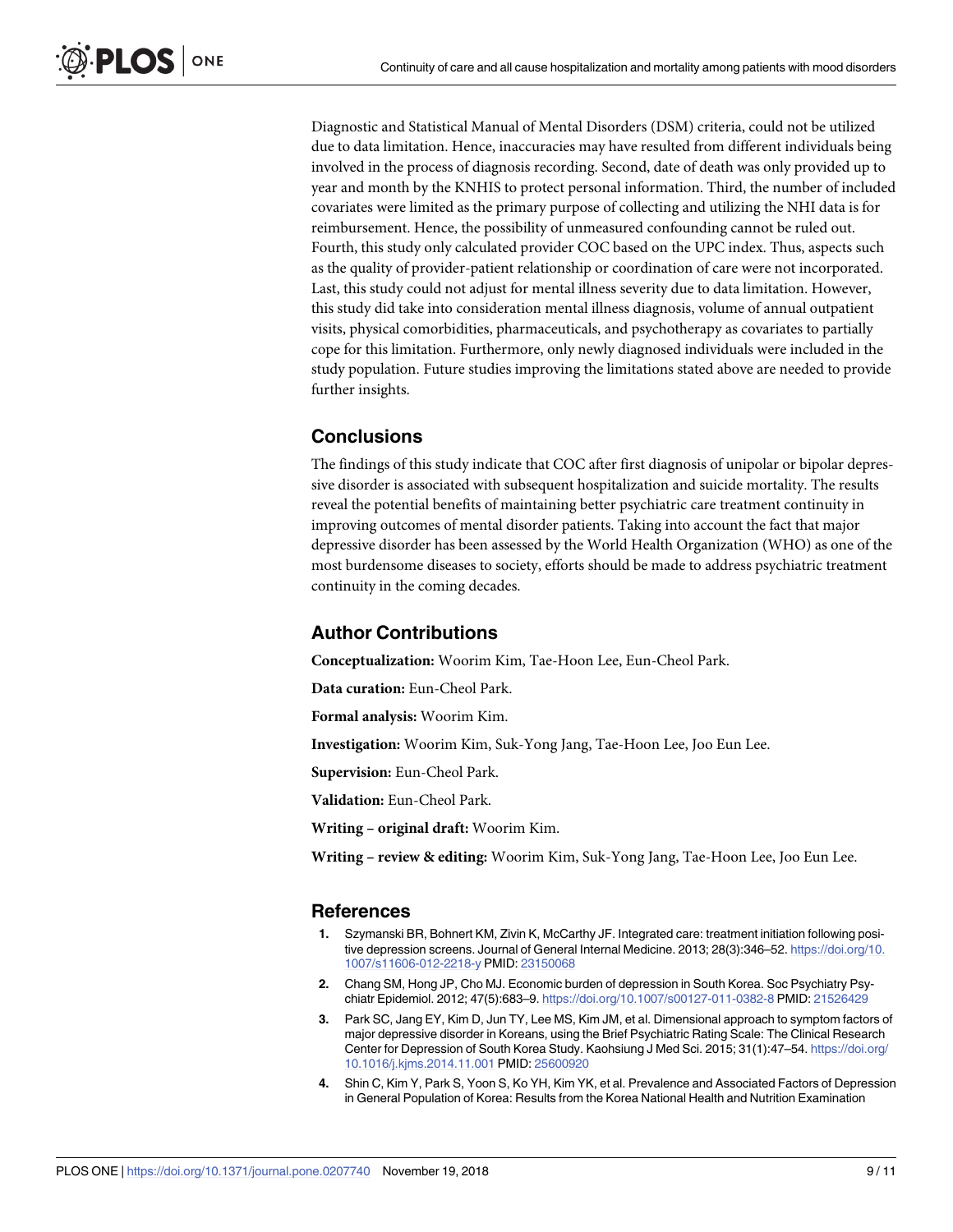<span id="page-8-0"></span>Diagnostic and Statistical Manual of Mental Disorders (DSM) criteria, could not be utilized due to data limitation. Hence, inaccuracies may have resulted from different individuals being involved in the process of diagnosis recording. Second, date of death was only provided up to year and month by the KNHIS to protect personal information. Third, the number of included covariates were limited as the primary purpose of collecting and utilizing the NHI data is for reimbursement. Hence, the possibility of unmeasured confounding cannot be ruled out. Fourth, this study only calculated provider COC based on the UPC index. Thus, aspects such as the quality of provider-patient relationship or coordination of care were not incorporated. Last, this study could not adjust for mental illness severity due to data limitation. However, this study did take into consideration mental illness diagnosis, volume of annual outpatient visits, physical comorbidities, pharmaceuticals, and psychotherapy as covariates to partially cope for this limitation. Furthermore, only newly diagnosed individuals were included in the study population. Future studies improving the limitations stated above are needed to provide further insights.

# **Conclusions**

The findings of this study indicate that COC after first diagnosis of unipolar or bipolar depressive disorder is associated with subsequent hospitalization and suicide mortality. The results reveal the potential benefits of maintaining better psychiatric care treatment continuity in improving outcomes of mental disorder patients. Taking into account the fact that major depressive disorder has been assessed by the World Health Organization (WHO) as one of the most burdensome diseases to society, efforts should be made to address psychiatric treatment continuity in the coming decades.

# **Author Contributions**

**Conceptualization:** Woorim Kim, Tae-Hoon Lee, Eun-Cheol Park.

**Data curation:** Eun-Cheol Park.

**Formal analysis:** Woorim Kim.

**Investigation:** Woorim Kim, Suk-Yong Jang, Tae-Hoon Lee, Joo Eun Lee.

**Supervision:** Eun-Cheol Park.

**Validation:** Eun-Cheol Park.

**Writing – original draft:** Woorim Kim.

**Writing – review & editing:** Woorim Kim, Suk-Yong Jang, Tae-Hoon Lee, Joo Eun Lee.

#### **References**

- **[1](#page-1-0).** Szymanski BR, Bohnert KM, Zivin K, McCarthy JF. Integrated care: treatment initiation following positive depression screens. Journal of General Internal Medicine. 2013; 28(3):346–52. [https://doi.org/10.](https://doi.org/10.1007/s11606-012-2218-y) [1007/s11606-012-2218-y](https://doi.org/10.1007/s11606-012-2218-y) PMID: [23150068](http://www.ncbi.nlm.nih.gov/pubmed/23150068)
- **[2](#page-1-0).** Chang SM, Hong JP, Cho MJ. Economic burden of depression in South Korea. Soc Psychiatry Psychiatr Epidemiol. 2012; 47(5):683–9. <https://doi.org/10.1007/s00127-011-0382-8> PMID: [21526429](http://www.ncbi.nlm.nih.gov/pubmed/21526429)
- **[3](#page-1-0).** Park SC, Jang EY, Kim D, Jun TY, Lee MS, Kim JM, et al. Dimensional approach to symptom factors of major depressive disorder in Koreans, using the Brief Psychiatric Rating Scale: The Clinical Research Center for Depression of South Korea Study. Kaohsiung J Med Sci. 2015; 31(1):47–54. [https://doi.org/](https://doi.org/10.1016/j.kjms.2014.11.001) [10.1016/j.kjms.2014.11.001](https://doi.org/10.1016/j.kjms.2014.11.001) PMID: [25600920](http://www.ncbi.nlm.nih.gov/pubmed/25600920)
- **[4](#page-1-0).** Shin C, Kim Y, Park S, Yoon S, Ko YH, Kim YK, et al. Prevalence and Associated Factors of Depression in General Population of Korea: Results from the Korea National Health and Nutrition Examination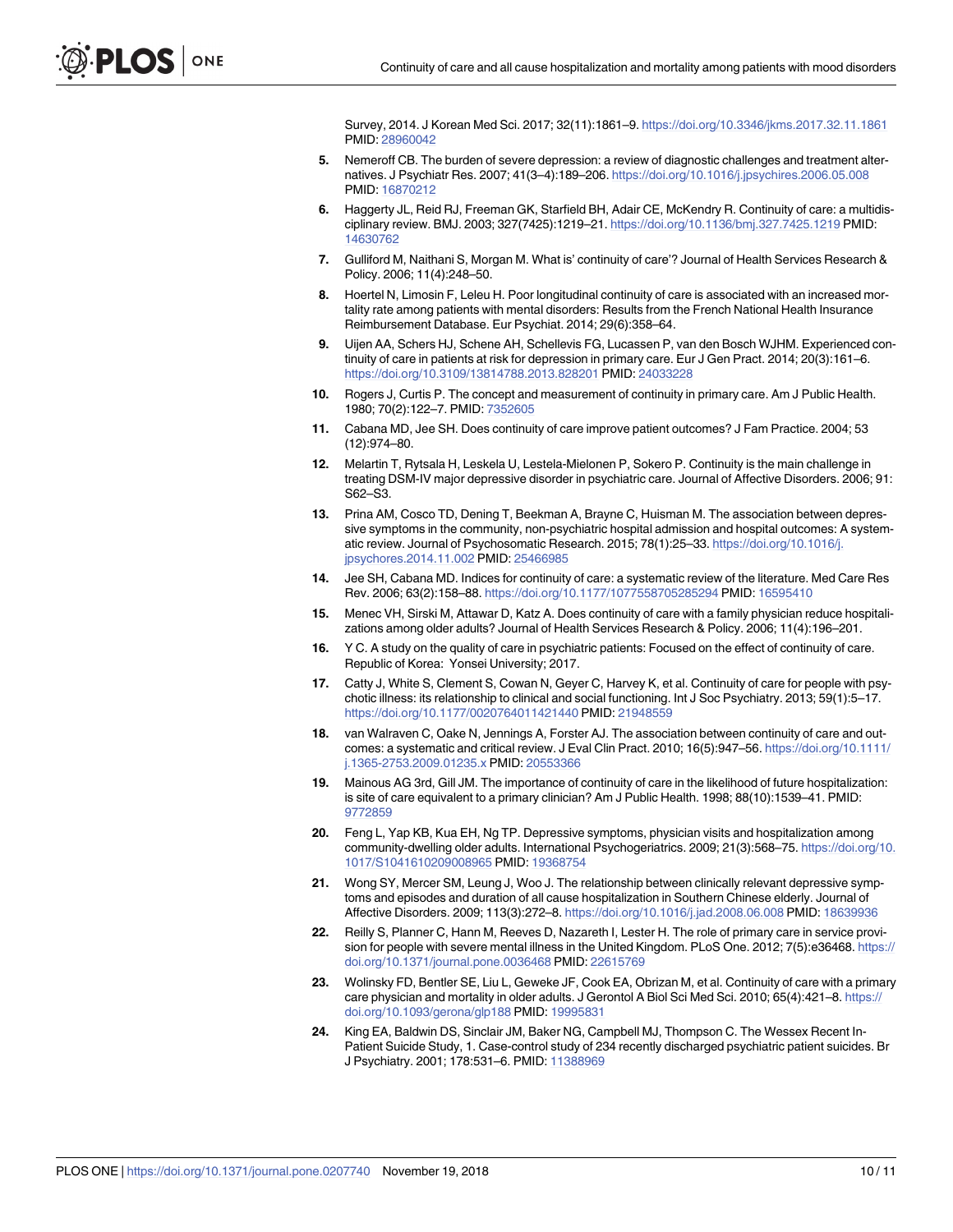Survey, 2014. J Korean Med Sci. 2017; 32(11):1861–9. <https://doi.org/10.3346/jkms.2017.32.11.1861> PMID: [28960042](http://www.ncbi.nlm.nih.gov/pubmed/28960042)

- <span id="page-9-0"></span>**[5](#page-1-0).** Nemeroff CB. The burden of severe depression: a review of diagnostic challenges and treatment alternatives. J Psychiatr Res. 2007; 41(3–4):189–206. <https://doi.org/10.1016/j.jpsychires.2006.05.008> PMID: [16870212](http://www.ncbi.nlm.nih.gov/pubmed/16870212)
- **[6](#page-1-0).** Haggerty JL, Reid RJ, Freeman GK, Starfield BH, Adair CE, McKendry R. Continuity of care: a multidisciplinary review. BMJ. 2003; 327(7425):1219–21. <https://doi.org/10.1136/bmj.327.7425.1219> PMID: [14630762](http://www.ncbi.nlm.nih.gov/pubmed/14630762)
- **[7](#page-1-0).** Gulliford M, Naithani S, Morgan M. What is' continuity of care'? Journal of Health Services Research & Policy. 2006; 11(4):248–50.
- **[8](#page-1-0).** Hoertel N, Limosin F, Leleu H. Poor longitudinal continuity of care is associated with an increased mortality rate among patients with mental disorders: Results from the French National Health Insurance Reimbursement Database. Eur Psychiat. 2014; 29(6):358–64.
- **[9](#page-1-0).** Uijen AA, Schers HJ, Schene AH, Schellevis FG, Lucassen P, van den Bosch WJHM. Experienced continuity of care in patients at risk for depression in primary care. Eur J Gen Pract. 2014; 20(3):161–6. <https://doi.org/10.3109/13814788.2013.828201> PMID: [24033228](http://www.ncbi.nlm.nih.gov/pubmed/24033228)
- **[10](#page-1-0).** Rogers J, Curtis P. The concept and measurement of continuity in primary care. Am J Public Health. 1980; 70(2):122–7. PMID: [7352605](http://www.ncbi.nlm.nih.gov/pubmed/7352605)
- **[11](#page-1-0).** Cabana MD, Jee SH. Does continuity of care improve patient outcomes? J Fam Practice. 2004; 53 (12):974–80.
- **[12](#page-1-0).** Melartin T, Rytsala H, Leskela U, Lestela-Mielonen P, Sokero P. Continuity is the main challenge in treating DSM-IV major depressive disorder in psychiatric care. Journal of Affective Disorders. 2006; 91: S62–S3.
- **[13](#page-1-0).** Prina AM, Cosco TD, Dening T, Beekman A, Brayne C, Huisman M. The association between depressive symptoms in the community, non-psychiatric hospital admission and hospital outcomes: A systematic review. Journal of Psychosomatic Research. 2015; 78(1):25–33. [https://doi.org/10.1016/j.](https://doi.org/10.1016/j.jpsychores.2014.11.002) [jpsychores.2014.11.002](https://doi.org/10.1016/j.jpsychores.2014.11.002) PMID: [25466985](http://www.ncbi.nlm.nih.gov/pubmed/25466985)
- **[14](#page-2-0).** Jee SH, Cabana MD. Indices for continuity of care: a systematic review of the literature. Med Care Res Rev. 2006; 63(2):158–88. <https://doi.org/10.1177/1077558705285294> PMID: [16595410](http://www.ncbi.nlm.nih.gov/pubmed/16595410)
- **[15](#page-2-0).** Menec VH, Sirski M, Attawar D, Katz A. Does continuity of care with a family physician reduce hospitalizations among older adults? Journal of Health Services Research & Policy. 2006; 11(4):196–201.
- **[16](#page-2-0).** Y C. A study on the quality of care in psychiatric patients: Focused on the effect of continuity of care. Republic of Korea: Yonsei University; 2017.
- **[17](#page-5-0).** Catty J, White S, Clement S, Cowan N, Geyer C, Harvey K, et al. Continuity of care for people with psychotic illness: its relationship to clinical and social functioning. Int J Soc Psychiatry. 2013; 59(1):5–17. <https://doi.org/10.1177/0020764011421440> PMID: [21948559](http://www.ncbi.nlm.nih.gov/pubmed/21948559)
- **[18](#page-5-0).** van Walraven C, Oake N, Jennings A, Forster AJ. The association between continuity of care and outcomes: a systematic and critical review. J Eval Clin Pract. 2010; 16(5):947–56. [https://doi.org/10.1111/](https://doi.org/10.1111/j.1365-2753.2009.01235.x) [j.1365-2753.2009.01235.x](https://doi.org/10.1111/j.1365-2753.2009.01235.x) PMID: [20553366](http://www.ncbi.nlm.nih.gov/pubmed/20553366)
- **[19](#page-5-0).** Mainous AG 3rd, Gill JM. The importance of continuity of care in the likelihood of future hospitalization: is site of care equivalent to a primary clinician? Am J Public Health. 1998; 88(10):1539–41. PMID: [9772859](http://www.ncbi.nlm.nih.gov/pubmed/9772859)
- **[20](#page-5-0).** Feng L, Yap KB, Kua EH, Ng TP. Depressive symptoms, physician visits and hospitalization among community-dwelling older adults. International Psychogeriatrics. 2009; 21(3):568–75. [https://doi.org/10.](https://doi.org/10.1017/S1041610209008965) [1017/S1041610209008965](https://doi.org/10.1017/S1041610209008965) PMID: [19368754](http://www.ncbi.nlm.nih.gov/pubmed/19368754)
- **[21](#page-5-0).** Wong SY, Mercer SM, Leung J, Woo J. The relationship between clinically relevant depressive symptoms and episodes and duration of all cause hospitalization in Southern Chinese elderly. Journal of Affective Disorders. 2009; 113(3):272–8. <https://doi.org/10.1016/j.jad.2008.06.008> PMID: [18639936](http://www.ncbi.nlm.nih.gov/pubmed/18639936)
- **[22](#page-5-0).** Reilly S, Planner C, Hann M, Reeves D, Nazareth I, Lester H. The role of primary care in service provision for people with severe mental illness in the United Kingdom. PLoS One. 2012; 7(5):e36468. [https://](https://doi.org/10.1371/journal.pone.0036468) [doi.org/10.1371/journal.pone.0036468](https://doi.org/10.1371/journal.pone.0036468) PMID: [22615769](http://www.ncbi.nlm.nih.gov/pubmed/22615769)
- **[23](#page-5-0).** Wolinsky FD, Bentler SE, Liu L, Geweke JF, Cook EA, Obrizan M, et al. Continuity of care with a primary care physician and mortality in older adults. J Gerontol A Biol Sci Med Sci. 2010; 65(4):421–8. [https://](https://doi.org/10.1093/gerona/glp188) [doi.org/10.1093/gerona/glp188](https://doi.org/10.1093/gerona/glp188) PMID: [19995831](http://www.ncbi.nlm.nih.gov/pubmed/19995831)
- **[24](#page-7-0).** King EA, Baldwin DS, Sinclair JM, Baker NG, Campbell MJ, Thompson C. The Wessex Recent In-Patient Suicide Study, 1. Case-control study of 234 recently discharged psychiatric patient suicides. Br J Psychiatry. 2001; 178:531–6. PMID: [11388969](http://www.ncbi.nlm.nih.gov/pubmed/11388969)